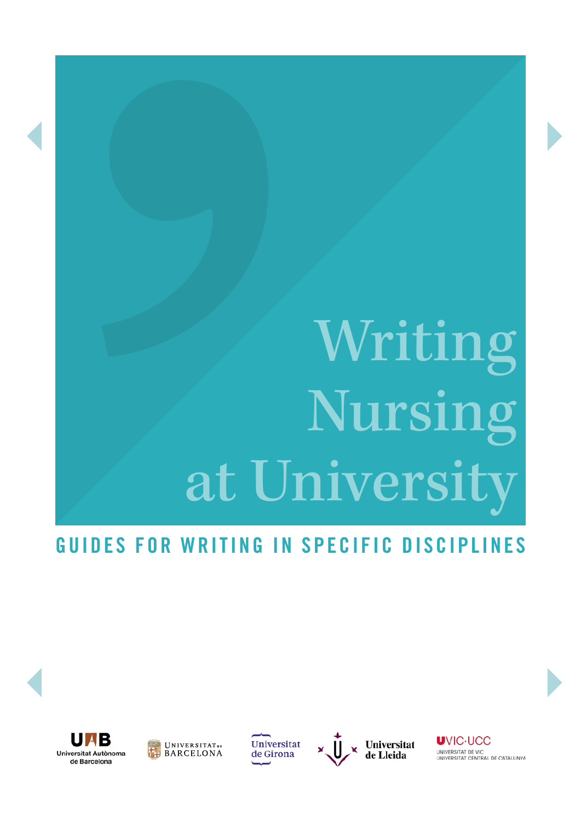# Writing Nursing at Universit

# GUIDES FOR WRITING IN SPECIFIC DISCIPLINES





Universitat de Girona



**UVIC-UCC** UNIVERSITAT DE VIC<br>UNIVERSITAT CENTRAL DE CATALUNYA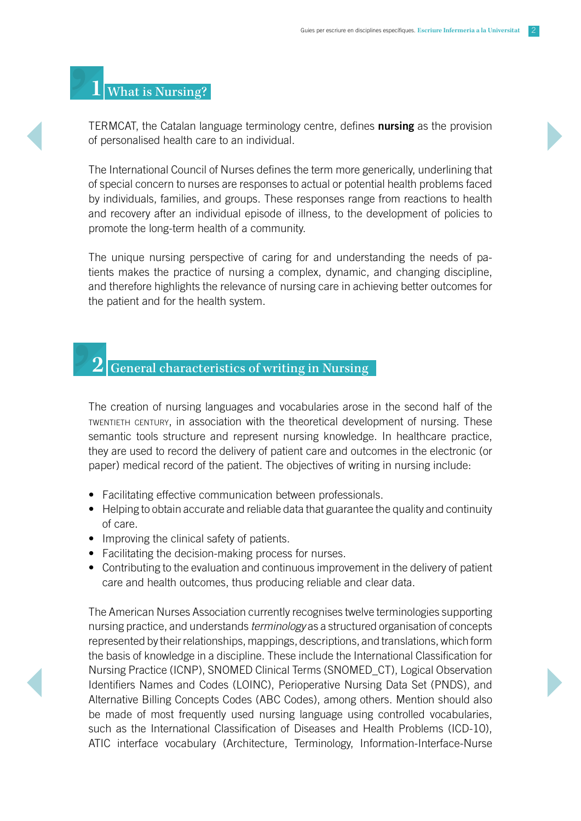## **1** What is Nursing?

TERMCAT, the Catalan language terminology centre, defines nursing as the provision of personalised health care to an individual.

The International Council of Nurses defines the term more generically, underlining that of special concern to nurses are responses to actual or potential health problems faced by individuals, families, and groups. These responses range from reactions to health and recovery after an individual episode of illness, to the development of policies to promote the long-term health of a community.

The unique nursing perspective of caring for and understanding the needs of patients makes the practice of nursing a complex, dynamic, and changing discipline, and therefore highlights the relevance of nursing care in achieving better outcomes for the patient and for the health system.

#### **2** General characteristics of writing in Nursing

The creation of nursing languages and vocabularies arose in the second half of the twentieth century, in association with the theoretical development of nursing. These semantic tools structure and represent nursing knowledge. In healthcare practice, they are used to record the delivery of patient care and outcomes in the electronic (or paper) medical record of the patient. The objectives of writing in nursing include:

- Facilitating effective communication between professionals.
- Helping to obtain accurate and reliable data that guarantee the quality and continuity of care.
- Improving the clinical safety of patients.
- Facilitating the decision-making process for nurses.
- Contributing to the evaluation and continuous improvement in the delivery of patient care and health outcomes, thus producing reliable and clear data.

The American Nurses Association currently recognises twelve terminologies supporting nursing practice, and understands *terminology* as a structured organisation of concepts represented by their relationships, mappings, descriptions, and translations, which form the basis of knowledge in a discipline. These include the International Classification for Nursing Practice (ICNP), SNOMED Clinical Terms (SNOMED\_CT), Logical Observation Identifiers Names and Codes (LOINC), Perioperative Nursing Data Set (PNDS), and Alternative Billing Concepts Codes (ABC Codes), among others. Mention should also be made of most frequently used nursing language using controlled vocabularies, such as the International Classification of Diseases and Health Problems (ICD-10), ATIC interface vocabulary (Architecture, Terminology, Information-Interface-Nurse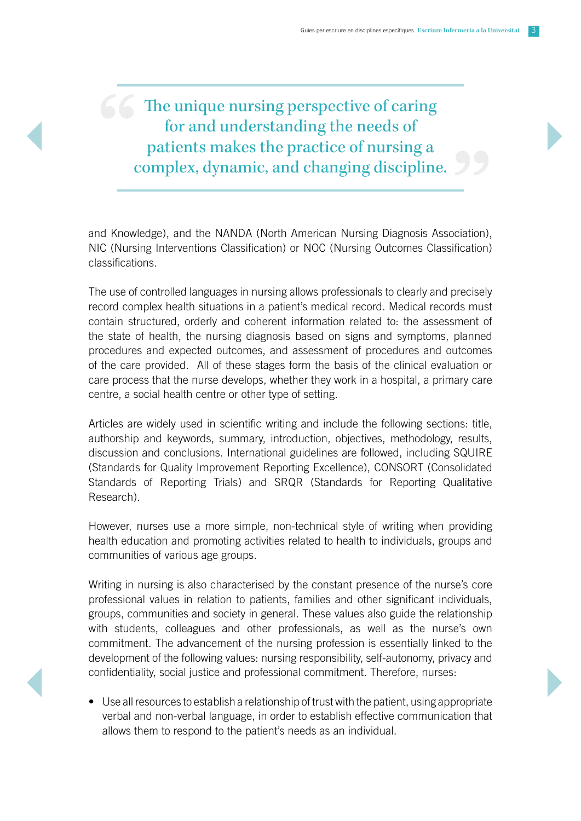## The unique nursing perspective of caring for and understanding the needs of patients makes the practice of nursing a complex, dynamic, and changing discipline.

and Knowledge), and the NANDA (North American Nursing Diagnosis Association), NIC (Nursing Interventions Classification) or NOC (Nursing Outcomes Classification) classifications.

The use of controlled languages in nursing allows professionals to clearly and precisely record complex health situations in a patient's medical record. Medical records must contain structured, orderly and coherent information related to: the assessment of the state of health, the nursing diagnosis based on signs and symptoms, planned procedures and expected outcomes, and assessment of procedures and outcomes of the care provided. All of these stages form the basis of the clinical evaluation or care process that the nurse develops, whether they work in a hospital, a primary care centre, a social health centre or other type of setting.

Articles are widely used in scientific writing and include the following sections: title, authorship and keywords, summary, introduction, objectives, methodology, results, discussion and conclusions. International guidelines are followed, including SQUIRE (Standards for Quality Improvement Reporting Excellence), CONSORT (Consolidated Standards of Reporting Trials) and SRQR (Standards for Reporting Qualitative Research).

However, nurses use a more simple, non-technical style of writing when providing health education and promoting activities related to health to individuals, groups and communities of various age groups.

Writing in nursing is also characterised by the constant presence of the nurse's core professional values in relation to patients, families and other significant individuals, groups, communities and society in general. These values also guide the relationship with students, colleagues and other professionals, as well as the nurse's own commitment. The advancement of the nursing profession is essentially linked to the development of the following values: nursing responsibility, self-autonomy, privacy and confidentiality, social justice and professional commitment. Therefore, nurses:

• Use all resources to establish a relationship of trust with the patient, using appropriate verbal and non-verbal language, in order to establish effective communication that allows them to respond to the patient's needs as an individual.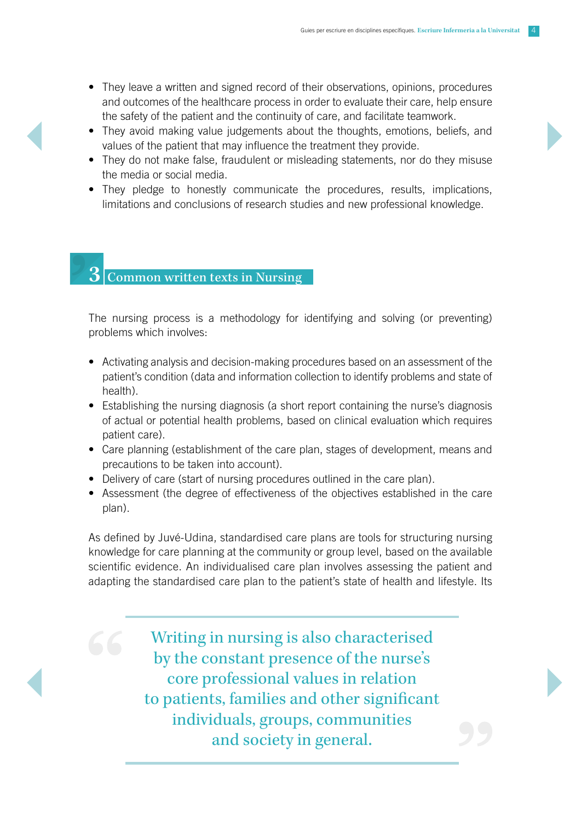- They leave a written and signed record of their observations, opinions, procedures and outcomes of the healthcare process in order to evaluate their care, help ensure the safety of the patient and the continuity of care, and facilitate teamwork.
- They avoid making value judgements about the thoughts, emotions, beliefs, and values of the patient that may influence the treatment they provide.
- They do not make false, fraudulent or misleading statements, nor do they misuse the media or social media.
- They pledge to honestly communicate the procedures, results, implications, limitations and conclusions of research studies and new professional knowledge.

## **3** Common written texts in Nursing

The nursing process is a methodology for identifying and solving (or preventing) problems which involves:

- Activating analysis and decision-making procedures based on an assessment of the patient's condition (data and information collection to identify problems and state of health).
- Establishing the nursing diagnosis (a short report containing the nurse's diagnosis of actual or potential health problems, based on clinical evaluation which requires patient care).
- Care planning (establishment of the care plan, stages of development, means and precautions to be taken into account).
- Delivery of care (start of nursing procedures outlined in the care plan).
- Assessment (the degree of effectiveness of the objectives established in the care plan).

As defined by Juvé-Udina, standardised care plans are tools for structuring nursing knowledge for care planning at the community or group level, based on the available scientific evidence. An individualised care plan involves assessing the patient and adapting the standardised care plan to the patient's state of health and lifestyle. Its

> Writing in nursing is also characterised by the constant presence of the nurse's core professional values in relation to patients, families and other significant individuals, groups, communities and society in general.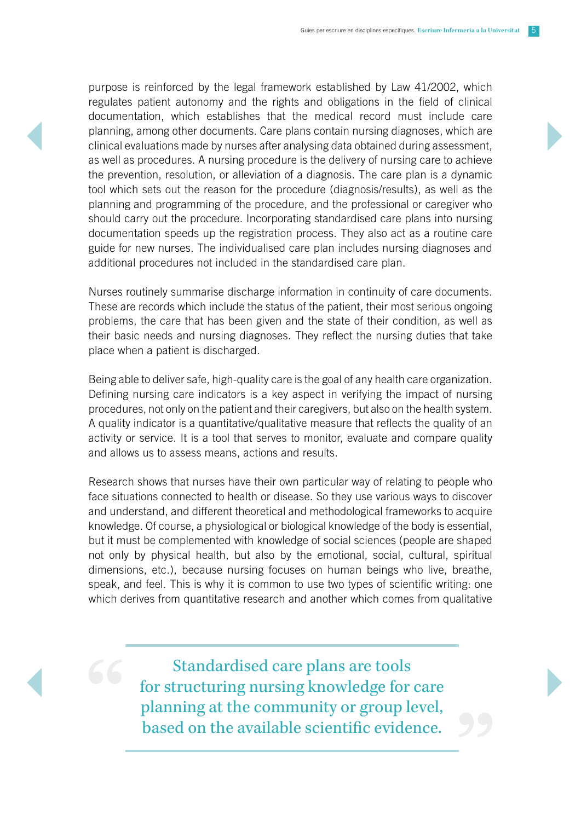purpose is reinforced by the legal framework established by Law 41/2002, which regulates patient autonomy and the rights and obligations in the field of clinical documentation, which establishes that the medical record must include care planning, among other documents. Care plans contain nursing diagnoses, which are clinical evaluations made by nurses after analysing data obtained during assessment, as well as procedures. A nursing procedure is the delivery of nursing care to achieve the prevention, resolution, or alleviation of a diagnosis. The care plan is a dynamic tool which sets out the reason for the procedure (diagnosis/results), as well as the planning and programming of the procedure, and the professional or caregiver who should carry out the procedure. Incorporating standardised care plans into nursing documentation speeds up the registration process. They also act as a routine care guide for new nurses. The individualised care plan includes nursing diagnoses and additional procedures not included in the standardised care plan.

Nurses routinely summarise discharge information in continuity of care documents. These are records which include the status of the patient, their most serious ongoing problems, the care that has been given and the state of their condition, as well as their basic needs and nursing diagnoses. They reflect the nursing duties that take place when a patient is discharged.

Being able to deliver safe, high-quality care is the goal of any health care organization. Defining nursing care indicators is a key aspect in verifying the impact of nursing procedures, not only on the patient and their caregivers, but also on the health system. A quality indicator is a quantitative/qualitative measure that reflects the quality of an activity or service. It is a tool that serves to monitor, evaluate and compare quality and allows us to assess means, actions and results.

Research shows that nurses have their own particular way of relating to people who face situations connected to health or disease. So they use various ways to discover and understand, and different theoretical and methodological frameworks to acquire knowledge. Of course, a physiological or biological knowledge of the body is essential, but it must be complemented with knowledge of social sciences (people are shaped not only by physical health, but also by the emotional, social, cultural, spiritual dimensions, etc.), because nursing focuses on human beings who live, breathe, speak, and feel. This is why it is common to use two types of scientific writing: one which derives from quantitative research and another which comes from qualitative

> Standardised care plans are tools for structuring nursing knowledge for care planning at the community or group level, based on the available scientific evidence.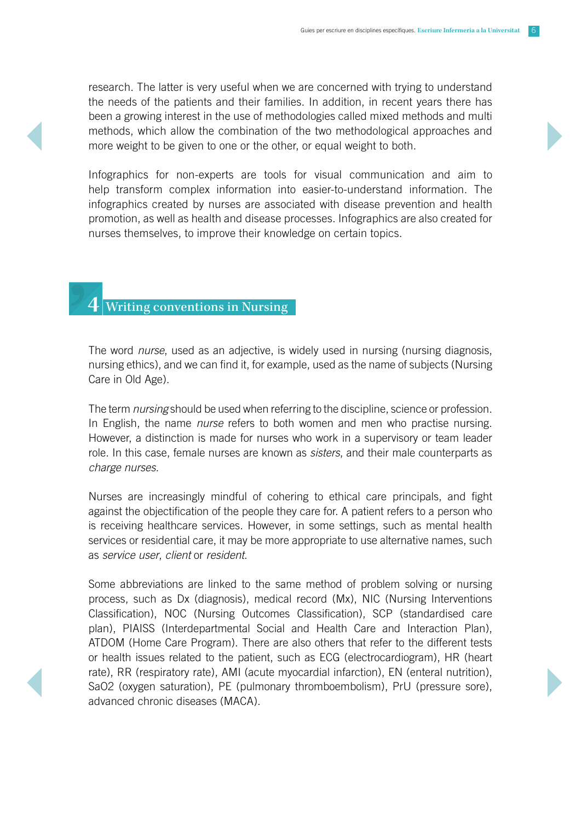research. The latter is very useful when we are concerned with trying to understand the needs of the patients and their families. In addition, in recent years there has been a growing interest in the use of methodologies called mixed methods and multi methods, which allow the combination of the two methodological approaches and more weight to be given to one or the other, or equal weight to both.

Infographics for non-experts are tools for visual communication and aim to help transform complex information into easier-to-understand information. The infographics created by nurses are associated with disease prevention and health promotion, as well as health and disease processes. Infographics are also created for nurses themselves, to improve their knowledge on certain topics.

### **4** Writing conventions in Nursing

The word *nurse*, used as an adjective, is widely used in nursing (nursing diagnosis, nursing ethics), and we can find it, for example, used as the name of subjects (Nursing Care in Old Age).

The term *nursing* should be used when referring to the discipline, science or profession. In English, the name *nurse* refers to both women and men who practise nursing. However, a distinction is made for nurses who work in a supervisory or team leader role. In this case, female nurses are known as *sisters*, and their male counterparts as *charge nurses*.

Nurses are increasingly mindful of cohering to ethical care principals, and fight against the objectification of the people they care for. A patient refers to a person who is receiving healthcare services. However, in some settings, such as mental health services or residential care, it may be more appropriate to use alternative names, such as *service user*, *client* or *resident*.

Some abbreviations are linked to the same method of problem solving or nursing process, such as Dx (diagnosis), medical record (Mx), NIC (Nursing Interventions Classification), NOC (Nursing Outcomes Classification), SCP (standardised care plan), PIAISS (Interdepartmental Social and Health Care and Interaction Plan), ATDOM (Home Care Program). There are also others that refer to the different tests or health issues related to the patient, such as ECG (electrocardiogram), HR (heart rate), RR (respiratory rate), AMI (acute myocardial infarction), EN (enteral nutrition), SaO2 (oxygen saturation), PE (pulmonary thromboembolism), PrU (pressure sore), advanced chronic diseases (MACA).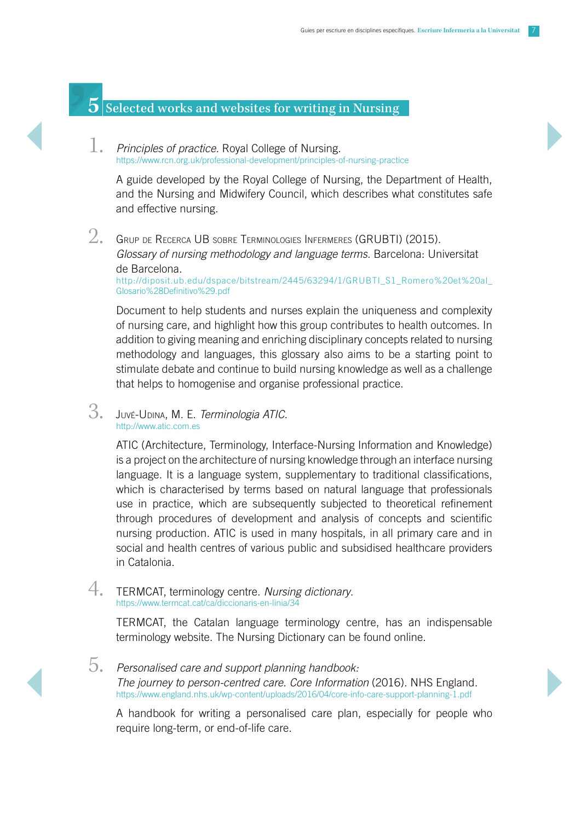## **5** Selected works and websites for writing in Nursing

1. *Principles of practice.* Royal College of Nursing. <https://www.rcn.org.uk/professional-development/principles-of-nursing-practice>

A guide developed by the Royal College of Nursing, the Department of Health, and the Nursing and Midwifery Council, which describes what constitutes safe and effective nursing.

 $2.$  Grup de Recerca UB sobre Terminologies Infermeres (GRUBTI) (2015). *Glossary of nursing methodology and language terms.* Barcelona: Universitat de Barcelona. [http://diposit.ub.edu/dspace/bitstream/2445/63294/1/GRUBTI\\_S1\\_Romero%20et%20al\\_](http://diposit.ub.edu/dspace/bitstream/2445/63294/1/GRUBTI_S1_Romero%20et%20al_Glosario%28Definitivo%29.pdf) [Glosario%28Definitivo%29.pdf](http://diposit.ub.edu/dspace/bitstream/2445/63294/1/GRUBTI_S1_Romero%20et%20al_Glosario%28Definitivo%29.pdf)

Document to help students and nurses explain the uniqueness and complexity of nursing care, and highlight how this group contributes to health outcomes. In addition to giving meaning and enriching disciplinary concepts related to nursing methodology and languages, this glossary also aims to be a starting point to stimulate debate and continue to build nursing knowledge as well as a challenge that helps to homogenise and organise professional practice.

3. Juvé-Udina, M. E. *Terminologia ATIC.* http://www.atic.com.es

> ATIC (Architecture, Terminology, Interface-Nursing Information and Knowledge) is a project on the architecture of nursing knowledge through an interface nursing language. It is a language system, supplementary to traditional classifications, which is characterised by terms based on natural language that professionals use in practice, which are subsequently subjected to theoretical refinement through procedures of development and analysis of concepts and scientific nursing production. ATIC is used in many hospitals, in all primary care and in social and health centres of various public and subsidised healthcare providers in Catalonia.

4. TERMCAT, terminology centre. *Nursing dictionary*. <https://www.termcat.cat/ca/diccionaris-en-linia/34>

TERMCAT, the Catalan language terminology centre, has an indispensable terminology website. The Nursing Dictionary can be found online.

5. *Personalised care and support planning handbook: The journey to person-centred care. Core Information* (2016). NHS England. <https://www.england.nhs.uk/wp-content/uploads/2016/04/core-info-care-support-planning-1.pdf>

A handbook for writing a personalised care plan, especially for people who require long-term, or end-of-life care.